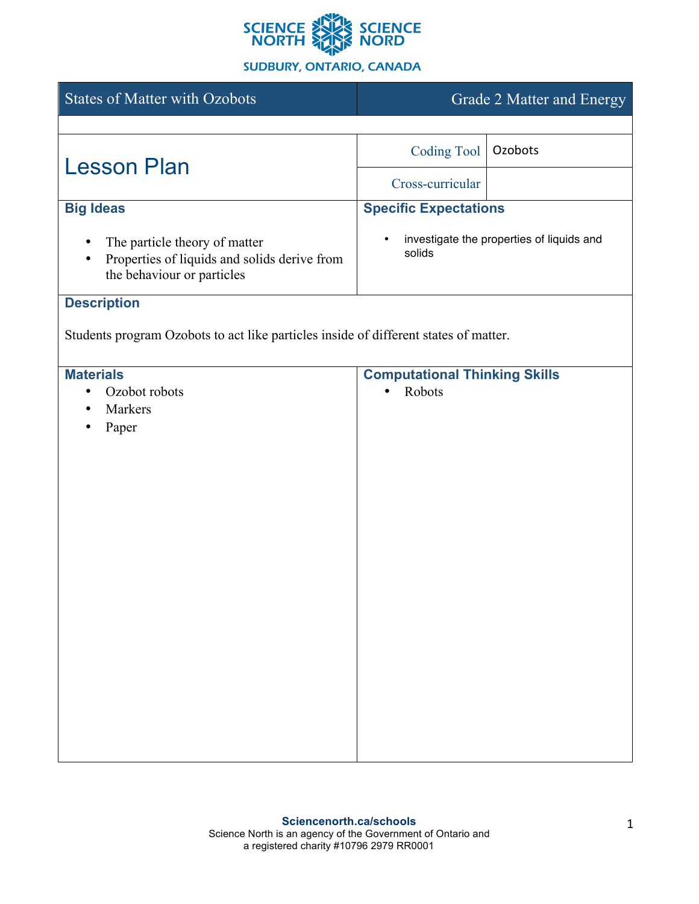

## **SUDBURY, ONTARIO, CANADA**

| <b>States of Matter with Ozobots</b>                                                                                     | Grade 2 Matter and Energy                           |                                           |
|--------------------------------------------------------------------------------------------------------------------------|-----------------------------------------------------|-------------------------------------------|
|                                                                                                                          |                                                     |                                           |
| <b>Lesson Plan</b>                                                                                                       | <b>Coding Tool</b>                                  | Ozobots                                   |
|                                                                                                                          | Cross-curricular                                    |                                           |
| <b>Big Ideas</b>                                                                                                         | <b>Specific Expectations</b>                        |                                           |
| The particle theory of matter<br>Properties of liquids and solids derive from<br>$\bullet$<br>the behaviour or particles | $\bullet$<br>solids                                 | investigate the properties of liquids and |
| <b>Description</b>                                                                                                       |                                                     |                                           |
| Students program Ozobots to act like particles inside of different states of matter.                                     |                                                     |                                           |
| <b>Materials</b><br>Ozobot robots<br>٠<br>Markers<br>Paper                                                               | <b>Computational Thinking Skills</b><br>Robots<br>٠ |                                           |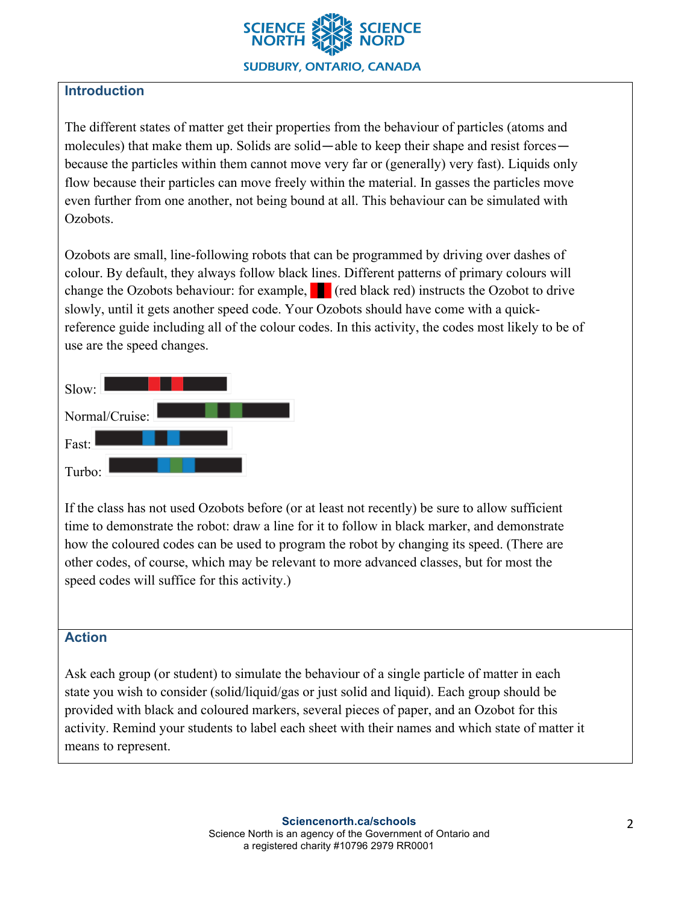

# **Introduction**

The different states of matter get their properties from the behaviour of particles (atoms and molecules) that make them up. Solids are solid—able to keep their shape and resist forces because the particles within them cannot move very far or (generally) very fast). Liquids only flow because their particles can move freely within the material. In gasses the particles move even further from one another, not being bound at all. This behaviour can be simulated with Ozobots.

Ozobots are small, line-following robots that can be programmed by driving over dashes of colour. By default, they always follow black lines. Different patterns of primary colours will change the Ozobots behaviour: for example,  $\Box$  (red black red) instructs the Ozobot to drive slowly, until it gets another speed code. Your Ozobots should have come with a quickreference guide including all of the colour codes. In this activity, the codes most likely to be of use are the speed changes.

| Slow:          |  |
|----------------|--|
| Normal/Cruise: |  |
| Fast:          |  |
| Turbo:         |  |

If the class has not used Ozobots before (or at least not recently) be sure to allow sufficient time to demonstrate the robot: draw a line for it to follow in black marker, and demonstrate how the coloured codes can be used to program the robot by changing its speed. (There are other codes, of course, which may be relevant to more advanced classes, but for most the speed codes will suffice for this activity.)

#### **Action**

Ask each group (or student) to simulate the behaviour of a single particle of matter in each state you wish to consider (solid/liquid/gas or just solid and liquid). Each group should be provided with black and coloured markers, several pieces of paper, and an Ozobot for this activity. Remind your students to label each sheet with their names and which state of matter it means to represent.